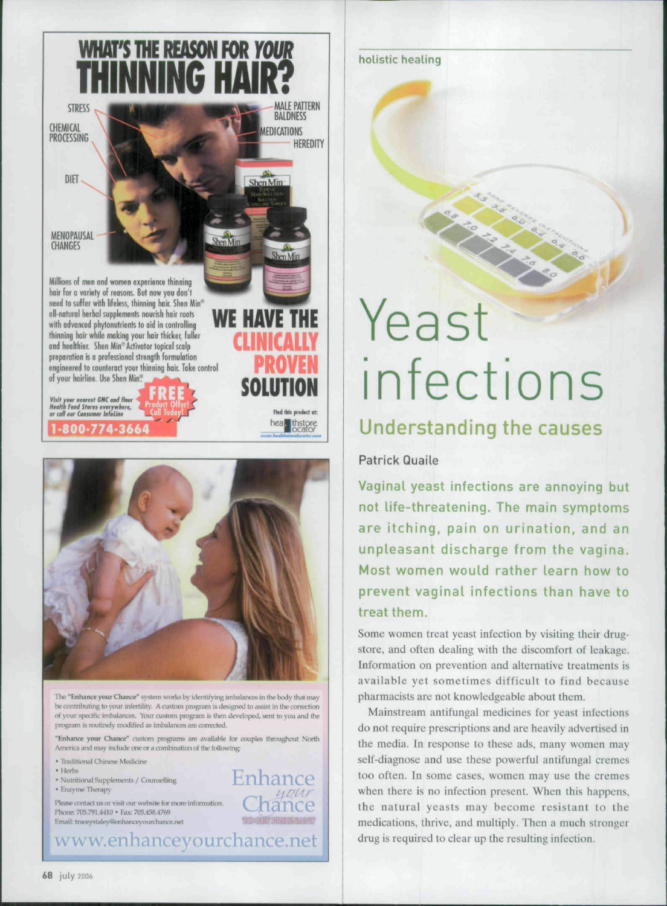



The "Enhance your Chance" system works by identifying imbalances in the body that may be contributing to your infertility. A custom program is designed to assist in the correction of your specific imbalances. Your custom program is then developed, sent to you and the program is routinely modified as imbalances are corrected

"Enhance your Chance" custom programs are available for couples throughout North America and may include one or a combination of the following

Enhance

**SERIOR BUTTERE GEORGIA** 

nour

aance

- \* Traditional Chinese Medicine
- · Herbs

· Nutritional Supplements / Counselling

· Enzyme Therapy

Please contact us or visit our website for more information. Phone: 705.791.4410 · Fax: 705.458.4769 Email: traceystaley@enhanceyourchance.net

www.enhanceyourchance.net

holistic healing

# Yeast infections

**CONSTRUCTION** 

### Understanding the causes

#### Patrick Quaile

Vaginal yeast infections are annoying but not life-threatening. The main symptoms are itching, pain on urination, and an unpleasant discharge from the vagina. Most women would rather learn how to prevent vaginal infections than have to treat them.

Some women treat yeast infection by visiting their drugstore, and often dealing with the discomfort of leakage. Information on prevention and alternative treatments is available yet sometimes difficult to find because pharmacists are not knowledgeable about them.

Mainstream antifungal medicines for yeast infections do not require prescriptions and are heavily advertised in the media. In response to these ads, many women may self-diagnose and use these powerful antifungal cremes too often. In some cases, women may use the cremes when there is no infection present. When this happens, the natural yeasts may become resistant to the medications, thrive, and multiply. Then a much stronger drug is required to clear up the resulting infection.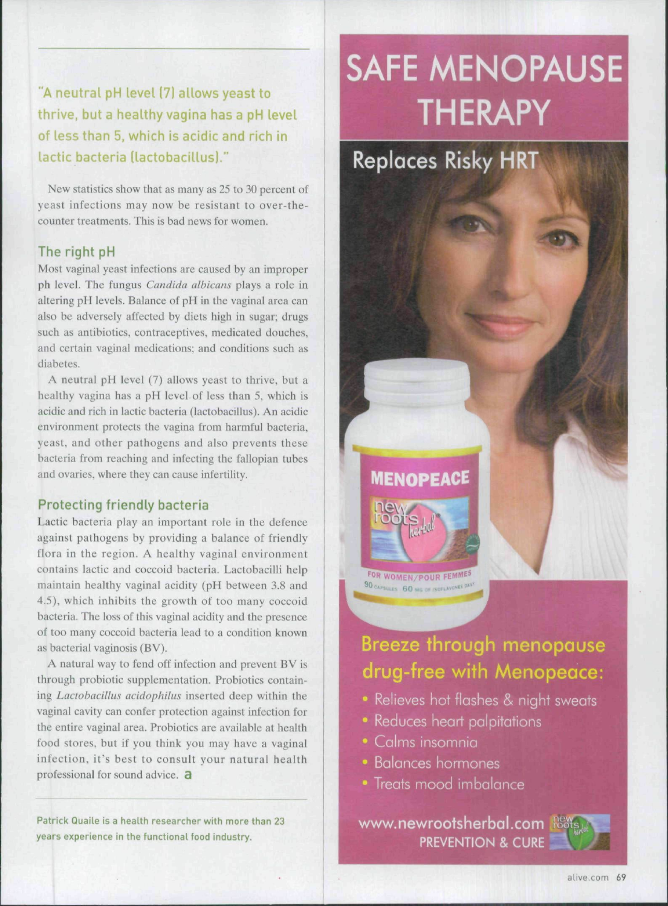**"A neutral pH level (7) allows yeast to thrive, but a healthy vagina has a pH level of less than 5, which is acidic and rich in lactic bacteria (lactobacillus)."**

New statistics show that as many as 25 to 30 percent of yeast infections may now be resistant to over-thecounter treatments. This is bad news for women.

#### **The right pH**

Most vaginal yeast infections arc caused by an improper ph level. The fungus *Candida alhicans* plays a role in altering pH levels. Balance of pH in the vaginal area can also be adversely affected by diets high in sugar: drugs such as antibiotics, contraceptives, medicated douches, and certain vagina! medications; and conditions such as diabetes.

A neutral pH level (7) allows yeast to thrive, but a healthy vagina has a pH level of less than 5, which is acidic and rich in lactic bacteria (laetobacillus). An acidic environment protects the vagina from harmful bacteria, yeast, and other pathogens and also prevents these bacteria from reaching and infecting the fallopian tubes and ovaries, where they can cause infertility.

#### **Protecting friendly bacteria**

Laetic bacteria play an important role in the defence against pathogens by providing a balance of friendly flora in the region. A healthy vaginal environment contains laetic and coccoid bacteria. Lactobacilli help maintain healthy vaginal acidity (pH between 3.8 and 4.5), which inhibits the growth of too many coccoid bacteria. The loss of this vaginal acidity and the presence of too many coccoid bacteria lead to a condition known as bacterial vaginosis (BV).

A natural way to fend off infection and prevent BV is through probiotie supplementation. Probioties containing *Ldctobdcithis acidophilus* inserted deep within the vaginal cavity can confer protection against infection for the entire vaginal area. Probioties are available at health food stores, but if you think you may have a vaginal infection, it's best to consult your natural heaith professional for sound advice. a

**Patrick Quaile is a health researcher with more than 23 years experience in the functional food industry.**

# **SAFE MENOPAUSE THERAPY**

**Replaces Risky HRT** 

**MENOPEACE** 

FOR WOMEN/POUR FEMMES 90 CAPSULES 60 MG OF ISOFLA

## Breeze through menopause drug-free with Menopeace:

- Relieves hot flashes & night sweats
- Reduces heart palpitations
- Calms insomnia
- Balances hormones
- Treats mood imbalance

www.newrootsherbal.com **PREVENTION & CURE**